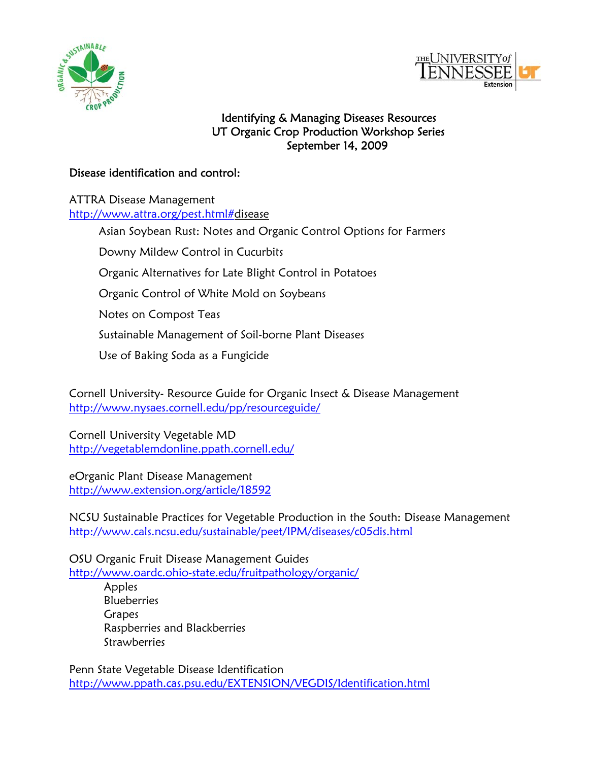



## Identifying & Managing Diseases Resources UT Organic Crop Production Workshop Series September 14, 2009

## Disease identification and control:

ATTRA Disease Management [http://www.attra.org/pest.html#d](http://www.attra.org/pest.html)isease

Asian Soybean Rust: Notes and Organic Control Options for Farmers

Downy Mildew Control in Cucurbits

Organic Alternatives for Late Blight Control in Potatoes

Organic Control of White Mold on Soybeans

Notes on Compost Teas

Sustainable Management of Soil-borne Plant Diseases

Use of Baking Soda as a Fungicide

Cornell University- Resource Guide for Organic Insect & Disease Management <http://www.nysaes.cornell.edu/pp/resourceguide/>

Cornell University Vegetable MD <http://vegetablemdonline.ppath.cornell.edu/>

eOrganic Plant Disease Management <http://www.extension.org/article/18592>

NCSU Sustainable Practices for Vegetable Production in the South: Disease Management <http://www.cals.ncsu.edu/sustainable/peet/IPM/diseases/c05dis.html>

OSU Organic Fruit Disease Management Guides <http://www.oardc.ohio-state.edu/fruitpathology/organic/>

> Apples **Blueberries Grapes**  Raspberries and Blackberries **Strawberries**

Penn State Vegetable Disease Identification <http://www.ppath.cas.psu.edu/EXTENSION/VEGDIS/Identification.html>